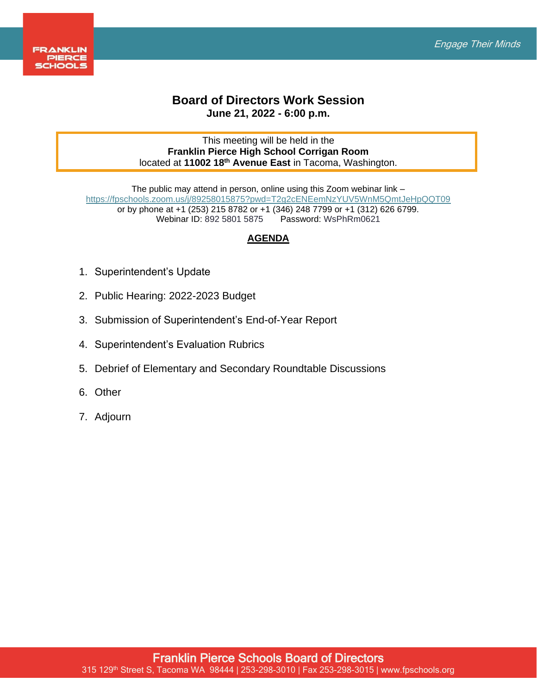

## **Board of Directors Work Session June 21, 2022 - 6:00 p.m.**

## This meeting will be held in the **Franklin Pierce High School Corrigan Room**  located at **11002 18th Avenue East** in Tacoma, Washington.

The public may attend in person, online using this Zoom webinar link – <https://fpschools.zoom.us/j/89258015875?pwd=T2g2cENEemNzYUV5WnM5QmtJeHpQQT09> or by phone at +1 (253) 215 8782 or +1 (346) 248 7799 or +1 (312) 626 6799. Webinar ID: 892 5801 5875

## **AGENDA**

- 1. Superintendent's Update
- 2. Public Hearing: 2022-2023 Budget
- 3. Submission of Superintendent's End-of-Year Report
- 4. Superintendent's Evaluation Rubrics
- 5. Debrief of Elementary and Secondary Roundtable Discussions
- 6. Other
- 7. Adjourn